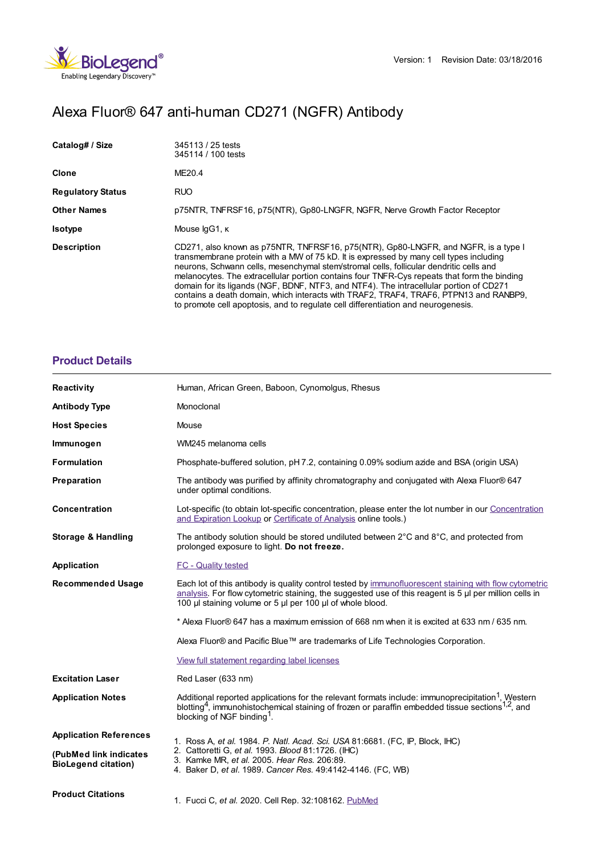

# Alexa Fluor® 647 anti-human CD271 (NGFR) Antibody

| Catalog# / Size          | 345113 / 25 tests<br>345114 / 100 tests                                                                                                                                                                                                                                                                                                                                                                                                                                                                                                                                                                                                       |
|--------------------------|-----------------------------------------------------------------------------------------------------------------------------------------------------------------------------------------------------------------------------------------------------------------------------------------------------------------------------------------------------------------------------------------------------------------------------------------------------------------------------------------------------------------------------------------------------------------------------------------------------------------------------------------------|
| Clone                    | ME20.4                                                                                                                                                                                                                                                                                                                                                                                                                                                                                                                                                                                                                                        |
| <b>Regulatory Status</b> | RUO.                                                                                                                                                                                                                                                                                                                                                                                                                                                                                                                                                                                                                                          |
| <b>Other Names</b>       | p75NTR, TNFRSF16, p75(NTR), Gp80-LNGFR, NGFR, Nerve Growth Factor Receptor                                                                                                                                                                                                                                                                                                                                                                                                                                                                                                                                                                    |
| <b>Isotype</b>           | Mouse IgG1, K                                                                                                                                                                                                                                                                                                                                                                                                                                                                                                                                                                                                                                 |
| <b>Description</b>       | CD271, also known as p75NTR, TNFRSF16, p75(NTR), Gp80-LNGFR, and NGFR, is a type I<br>transmembrane protein with a MW of 75 kD. It is expressed by many cell types including<br>neurons, Schwann cells, mesenchymal stem/stromal cells, follicular dendritic cells and<br>melanocytes. The extracellular portion contains four TNFR-Cys repeats that form the binding<br>domain for its ligands (NGF, BDNF, NTF3, and NTF4). The intracellular portion of CD271<br>contains a death domain, which interacts with TRAF2, TRAF4, TRAF6, PTPN13 and RANBP9,<br>to promote cell apoptosis, and to regulate cell differentiation and neurogenesis. |

### **[Product](https://www.biolegend.com/en-us/search-results/alexa-fluor-647-anti-human-cd271-ngfr-antibody-13015?pdf=true&displayInline=true&leftRightMargin=15&topBottomMargin=15&filename=Alexa Fluor%EF%BF%BD%EF%BF%BD 647 anti-human CD271 (NGFR) Antibody.pdf#productDetails) Details**

| <b>Reactivity</b>                                    | Human, African Green, Baboon, Cynomolgus, Rhesus                                                                                                                                                                                                                                    |
|------------------------------------------------------|-------------------------------------------------------------------------------------------------------------------------------------------------------------------------------------------------------------------------------------------------------------------------------------|
| <b>Antibody Type</b>                                 | Monoclonal                                                                                                                                                                                                                                                                          |
| <b>Host Species</b>                                  | Mouse                                                                                                                                                                                                                                                                               |
| Immunogen                                            | WM245 melanoma cells                                                                                                                                                                                                                                                                |
| <b>Formulation</b>                                   | Phosphate-buffered solution, pH 7.2, containing 0.09% sodium azide and BSA (origin USA)                                                                                                                                                                                             |
| Preparation                                          | The antibody was purified by affinity chromatography and conjugated with Alexa Fluor® 647<br>under optimal conditions.                                                                                                                                                              |
| Concentration                                        | Lot-specific (to obtain lot-specific concentration, please enter the lot number in our Concentration<br>and Expiration Lookup or Certificate of Analysis online tools.)                                                                                                             |
| <b>Storage &amp; Handling</b>                        | The antibody solution should be stored undiluted between $2^{\circ}$ C and $8^{\circ}$ C, and protected from<br>prolonged exposure to light. Do not freeze.                                                                                                                         |
| Application                                          | <b>FC</b> - Quality tested                                                                                                                                                                                                                                                          |
| <b>Recommended Usage</b>                             | Each lot of this antibody is quality control tested by immunofluorescent staining with flow cytometric<br>analysis. For flow cytometric staining, the suggested use of this reagent is $5 \mu$ per million cells in<br>100 µl staining volume or 5 µl per 100 µl of whole blood.    |
|                                                      | * Alexa Fluor® 647 has a maximum emission of 668 nm when it is excited at 633 nm / 635 nm.                                                                                                                                                                                          |
|                                                      | Alexa Fluor® and Pacific Blue™ are trademarks of Life Technologies Corporation.                                                                                                                                                                                                     |
|                                                      | View full statement regarding label licenses                                                                                                                                                                                                                                        |
| <b>Excitation Laser</b>                              | Red Laser (633 nm)                                                                                                                                                                                                                                                                  |
| <b>Application Notes</b>                             | Additional reported applications for the relevant formats include: immunoprecipitation <sup>1</sup> , Western<br>blotting <sup>4</sup> , immunohistochemical staining of frozen or paraffin embedded tissue sections <sup>1,2</sup> , and<br>blocking of NGF binding <sup>1</sup> . |
| <b>Application References</b>                        | 1. Ross A, et al. 1984. P. Natl. Acad. Sci. USA 81:6681. (FC, IP, Block, IHC)                                                                                                                                                                                                       |
| (PubMed link indicates<br><b>BioLegend citation)</b> | 2. Cattoretti G, et al. 1993. Blood 81:1726. (IHC)<br>3. Kamke MR, et al. 2005. Hear Res. 206:89.<br>4. Baker D, et al. 1989. Cancer Res. 49:4142-4146. (FC, WB)                                                                                                                    |
| <b>Product Citations</b>                             | 1. Fucci C, et al. 2020. Cell Rep. 32:108162. PubMed                                                                                                                                                                                                                                |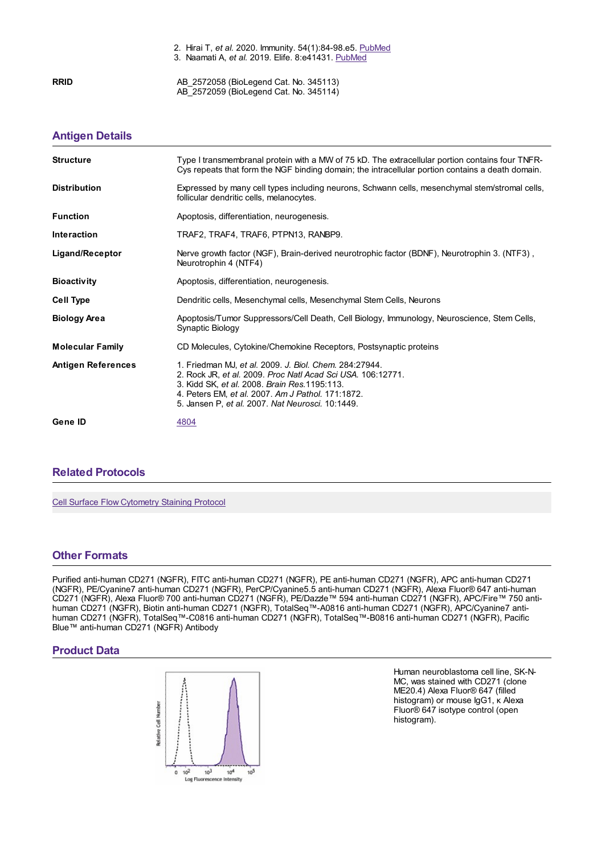2. Hirai T, *et al.* 2020. Immunity. 54(1):84-98.e5. [PubMed](https://pubmed.ncbi.nlm.nih.gov/33212014) 3. Naamati A, *et al.* 2019. Elife. 8:e41431. [PubMed](https://www.ncbi.nlm.nih.gov/pubmed/30857592)

**RRID** AB 2572058 (BioLegend Cat. No. 345113) AB\_2572059 (BioLegend Cat. No. 345114)

## **[Antigen](https://www.biolegend.com/en-us/search-results/alexa-fluor-647-anti-human-cd271-ngfr-antibody-13015?pdf=true&displayInline=true&leftRightMargin=15&topBottomMargin=15&filename=Alexa Fluor%EF%BF%BD%EF%BF%BD 647 anti-human CD271 (NGFR) Antibody.pdf#antigenDetails) Details**

| <b>Structure</b>          | Type I transmembranal protein with a MW of 75 kD. The extracellular portion contains four TNFR-<br>Cys repeats that form the NGF binding domain; the intracellular portion contains a death domain.                                                                             |
|---------------------------|---------------------------------------------------------------------------------------------------------------------------------------------------------------------------------------------------------------------------------------------------------------------------------|
| <b>Distribution</b>       | Expressed by many cell types including neurons, Schwann cells, mesenchymal stem/stromal cells,<br>follicular dendritic cells, melanocytes.                                                                                                                                      |
| <b>Function</b>           | Apoptosis, differentiation, neurogenesis.                                                                                                                                                                                                                                       |
| <b>Interaction</b>        | TRAF2, TRAF4, TRAF6, PTPN13, RANBP9.                                                                                                                                                                                                                                            |
| Ligand/Receptor           | Nerve growth factor (NGF), Brain-derived neurotrophic factor (BDNF), Neurotrophin 3. (NTF3),<br>Neurotrophin 4 (NTF4)                                                                                                                                                           |
| <b>Bioactivity</b>        | Apoptosis, differentiation, neurogenesis.                                                                                                                                                                                                                                       |
| <b>Cell Type</b>          | Dendritic cells, Mesenchymal cells, Mesenchymal Stem Cells, Neurons                                                                                                                                                                                                             |
| <b>Biology Area</b>       | Apoptosis/Tumor Suppressors/Cell Death, Cell Biology, Immunology, Neuroscience, Stem Cells,<br>Synaptic Biology                                                                                                                                                                 |
| <b>Molecular Family</b>   | CD Molecules, Cytokine/Chemokine Receptors, Postsynaptic proteins                                                                                                                                                                                                               |
| <b>Antigen References</b> | 1. Friedman MJ, et al. 2009. J. Biol. Chem. 284:27944.<br>2. Rock JR, et al. 2009. Proc Natl Acad Sci USA. 106:12771.<br>3. Kidd SK, et al. 2008. Brain Res. 1195:113.<br>4. Peters EM, et al. 2007. Am J Pathol. 171:1872.<br>5. Jansen P, et al. 2007. Nat Neurosci. 10:1449. |
| Gene ID                   | 4804                                                                                                                                                                                                                                                                            |

#### **Related [Protocols](https://www.biolegend.com/en-us/search-results/alexa-fluor-647-anti-human-cd271-ngfr-antibody-13015?pdf=true&displayInline=true&leftRightMargin=15&topBottomMargin=15&filename=Alexa Fluor%EF%BF%BD%EF%BF%BD 647 anti-human CD271 (NGFR) Antibody.pdf#productRelatedProtocols)**

Cell Surface Flow [Cytometry](https://www.biolegend.com/protocols/cell-surface-flow-cytometry-staining-protocol/4283/) Staining Protocol

#### **Other [Formats](https://www.biolegend.com/en-us/search-results/alexa-fluor-647-anti-human-cd271-ngfr-antibody-13015?pdf=true&displayInline=true&leftRightMargin=15&topBottomMargin=15&filename=Alexa Fluor%EF%BF%BD%EF%BF%BD 647 anti-human CD271 (NGFR) Antibody.pdf#productOtherFormats)**

Purified anti-human CD271 (NGFR), FITC anti-human CD271 (NGFR), PE anti-human CD271 (NGFR), APC anti-human CD271 (NGFR), PE/Cyanine7 anti-human CD271 (NGFR), PerCP/Cyanine5.5 anti-human CD271 (NGFR), Alexa Fluor® 647 anti-human CD271 (NGFR), Alexa Fluor® 700 anti-human CD271 (NGFR), PE/Dazzle™ 594 anti-human CD271 (NGFR), APC/Fire™ 750 antihuman CD271 (NGFR), Biotin anti-human CD271 (NGFR), TotalSeq™-A0816 anti-human CD271 (NGFR), APC/Cyanine7 antihuman CD271 (NGFR), TotalSeq™-C0816 anti-human CD271 (NGFR), TotalSeq™-B0816 anti-human CD271 (NGFR), Pacific Blue™ anti-human CD271 (NGFR) Antibody

#### **Product Data**



Human neuroblastoma cell line, SK-N-MC, was stained with CD271 (clone ME20.4) Alexa Fluor® 647 (filled histogram) or mouse IgG1, κ Alexa Fluor® 647 isotype control (open histogram).